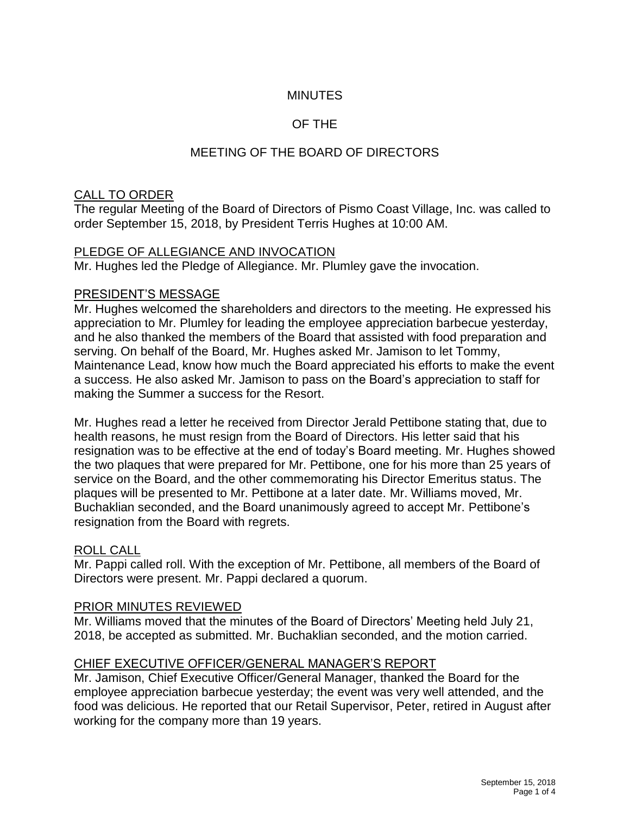### **MINUTES**

### OF THE

## MEETING OF THE BOARD OF DIRECTORS

### CALL TO ORDER

The regular Meeting of the Board of Directors of Pismo Coast Village, Inc. was called to order September 15, 2018, by President Terris Hughes at 10:00 AM.

### PLEDGE OF ALLEGIANCE AND INVOCATION

Mr. Hughes led the Pledge of Allegiance. Mr. Plumley gave the invocation.

#### PRESIDENT'S MESSAGE

Mr. Hughes welcomed the shareholders and directors to the meeting. He expressed his appreciation to Mr. Plumley for leading the employee appreciation barbecue yesterday, and he also thanked the members of the Board that assisted with food preparation and serving. On behalf of the Board, Mr. Hughes asked Mr. Jamison to let Tommy, Maintenance Lead, know how much the Board appreciated his efforts to make the event a success. He also asked Mr. Jamison to pass on the Board's appreciation to staff for making the Summer a success for the Resort.

Mr. Hughes read a letter he received from Director Jerald Pettibone stating that, due to health reasons, he must resign from the Board of Directors. His letter said that his resignation was to be effective at the end of today's Board meeting. Mr. Hughes showed the two plaques that were prepared for Mr. Pettibone, one for his more than 25 years of service on the Board, and the other commemorating his Director Emeritus status. The plaques will be presented to Mr. Pettibone at a later date. Mr. Williams moved, Mr. Buchaklian seconded, and the Board unanimously agreed to accept Mr. Pettibone's resignation from the Board with regrets.

### ROLL CALL

Mr. Pappi called roll. With the exception of Mr. Pettibone, all members of the Board of Directors were present. Mr. Pappi declared a quorum.

### PRIOR MINUTES REVIEWED

Mr. Williams moved that the minutes of the Board of Directors' Meeting held July 21, 2018, be accepted as submitted. Mr. Buchaklian seconded, and the motion carried.

### CHIEF EXECUTIVE OFFICER/GENERAL MANAGER'S REPORT

Mr. Jamison, Chief Executive Officer/General Manager, thanked the Board for the employee appreciation barbecue yesterday; the event was very well attended, and the food was delicious. He reported that our Retail Supervisor, Peter, retired in August after working for the company more than 19 years.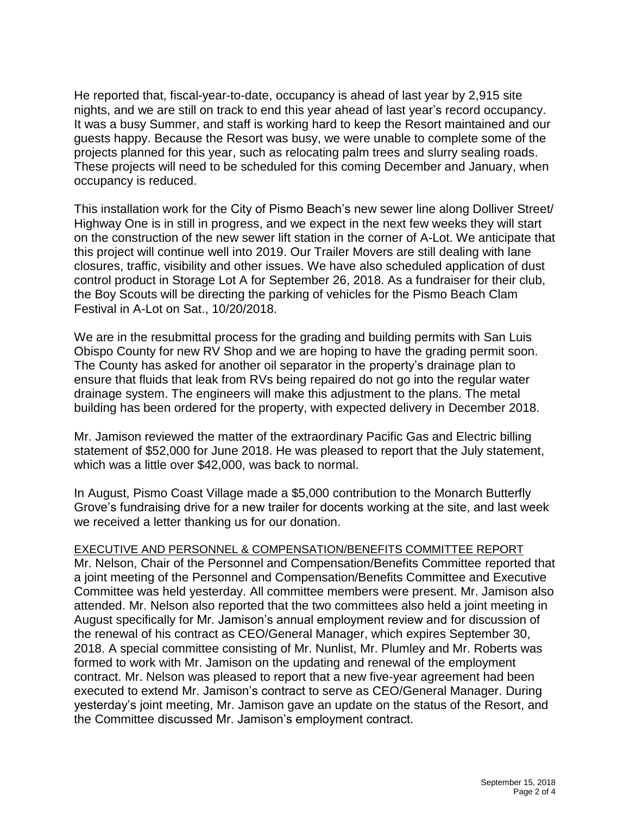He reported that, fiscal-year-to-date, occupancy is ahead of last year by 2,915 site nights, and we are still on track to end this year ahead of last year's record occupancy. It was a busy Summer, and staff is working hard to keep the Resort maintained and our guests happy. Because the Resort was busy, we were unable to complete some of the projects planned for this year, such as relocating palm trees and slurry sealing roads. These projects will need to be scheduled for this coming December and January, when occupancy is reduced.

This installation work for the City of Pismo Beach's new sewer line along Dolliver Street/ Highway One is in still in progress, and we expect in the next few weeks they will start on the construction of the new sewer lift station in the corner of A-Lot. We anticipate that this project will continue well into 2019. Our Trailer Movers are still dealing with lane closures, traffic, visibility and other issues. We have also scheduled application of dust control product in Storage Lot A for September 26, 2018. As a fundraiser for their club, the Boy Scouts will be directing the parking of vehicles for the Pismo Beach Clam Festival in A-Lot on Sat., 10/20/2018.

We are in the resubmittal process for the grading and building permits with San Luis Obispo County for new RV Shop and we are hoping to have the grading permit soon. The County has asked for another oil separator in the property's drainage plan to ensure that fluids that leak from RVs being repaired do not go into the regular water drainage system. The engineers will make this adjustment to the plans. The metal building has been ordered for the property, with expected delivery in December 2018.

Mr. Jamison reviewed the matter of the extraordinary Pacific Gas and Electric billing statement of \$52,000 for June 2018. He was pleased to report that the July statement, which was a little over \$42,000, was back to normal.

In August, Pismo Coast Village made a \$5,000 contribution to the Monarch Butterfly Grove's fundraising drive for a new trailer for docents working at the site, and last week we received a letter thanking us for our donation.

#### EXECUTIVE AND PERSONNEL & COMPENSATION/BENEFITS COMMITTEE REPORT

Mr. Nelson, Chair of the Personnel and Compensation/Benefits Committee reported that a joint meeting of the Personnel and Compensation/Benefits Committee and Executive Committee was held yesterday. All committee members were present. Mr. Jamison also attended. Mr. Nelson also reported that the two committees also held a joint meeting in August specifically for Mr. Jamison's annual employment review and for discussion of the renewal of his contract as CEO/General Manager, which expires September 30, 2018. A special committee consisting of Mr. Nunlist, Mr. Plumley and Mr. Roberts was formed to work with Mr. Jamison on the updating and renewal of the employment contract. Mr. Nelson was pleased to report that a new five-year agreement had been executed to extend Mr. Jamison's contract to serve as CEO/General Manager. During yesterday's joint meeting, Mr. Jamison gave an update on the status of the Resort, and the Committee discussed Mr. Jamison's employment contract.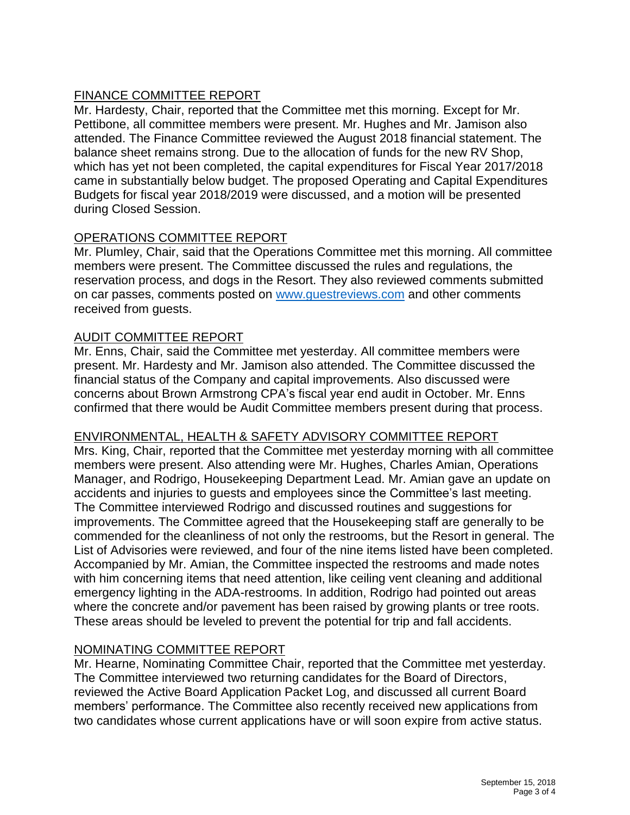## FINANCE COMMITTEE REPORT

Mr. Hardesty, Chair, reported that the Committee met this morning. Except for Mr. Pettibone, all committee members were present. Mr. Hughes and Mr. Jamison also attended. The Finance Committee reviewed the August 2018 financial statement. The balance sheet remains strong. Due to the allocation of funds for the new RV Shop, which has yet not been completed, the capital expenditures for Fiscal Year 2017/2018 came in substantially below budget. The proposed Operating and Capital Expenditures Budgets for fiscal year 2018/2019 were discussed, and a motion will be presented during Closed Session.

## OPERATIONS COMMITTEE REPORT

Mr. Plumley, Chair, said that the Operations Committee met this morning. All committee members were present. The Committee discussed the rules and regulations, the reservation process, and dogs in the Resort. They also reviewed comments submitted on car passes, comments posted on [www.guestreviews.com](http://www.guestreviews.com/) and other comments received from guests.

### AUDIT COMMITTEE REPORT

Mr. Enns, Chair, said the Committee met yesterday. All committee members were present. Mr. Hardesty and Mr. Jamison also attended. The Committee discussed the financial status of the Company and capital improvements. Also discussed were concerns about Brown Armstrong CPA's fiscal year end audit in October. Mr. Enns confirmed that there would be Audit Committee members present during that process.

## ENVIRONMENTAL, HEALTH & SAFETY ADVISORY COMMITTEE REPORT

Mrs. King, Chair, reported that the Committee met yesterday morning with all committee members were present. Also attending were Mr. Hughes, Charles Amian, Operations Manager, and Rodrigo, Housekeeping Department Lead. Mr. Amian gave an update on accidents and injuries to guests and employees since the Committee's last meeting. The Committee interviewed Rodrigo and discussed routines and suggestions for improvements. The Committee agreed that the Housekeeping staff are generally to be commended for the cleanliness of not only the restrooms, but the Resort in general. The List of Advisories were reviewed, and four of the nine items listed have been completed. Accompanied by Mr. Amian, the Committee inspected the restrooms and made notes with him concerning items that need attention, like ceiling vent cleaning and additional emergency lighting in the ADA-restrooms. In addition, Rodrigo had pointed out areas where the concrete and/or pavement has been raised by growing plants or tree roots. These areas should be leveled to prevent the potential for trip and fall accidents.

## NOMINATING COMMITTEE REPORT

Mr. Hearne, Nominating Committee Chair, reported that the Committee met yesterday. The Committee interviewed two returning candidates for the Board of Directors, reviewed the Active Board Application Packet Log, and discussed all current Board members' performance. The Committee also recently received new applications from two candidates whose current applications have or will soon expire from active status.